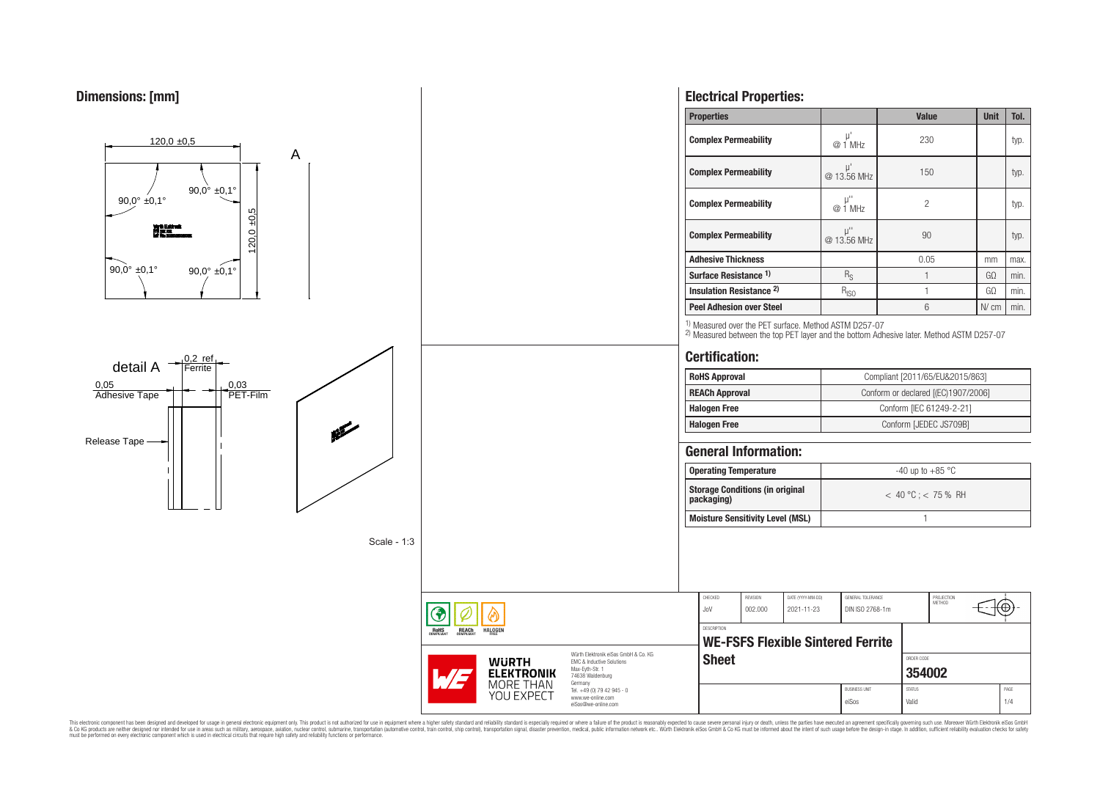

This electronic component has been designed and developed for usage in general electronic equipment only. This product is not authorized for use in equipment where a higher safely standard and reliability standard si espec & Ook product a label and the membed of the seasuch as marked and as which such a membed and the such assume that income in the seasuch and the simulation and the such assume that include to the such a membed and the such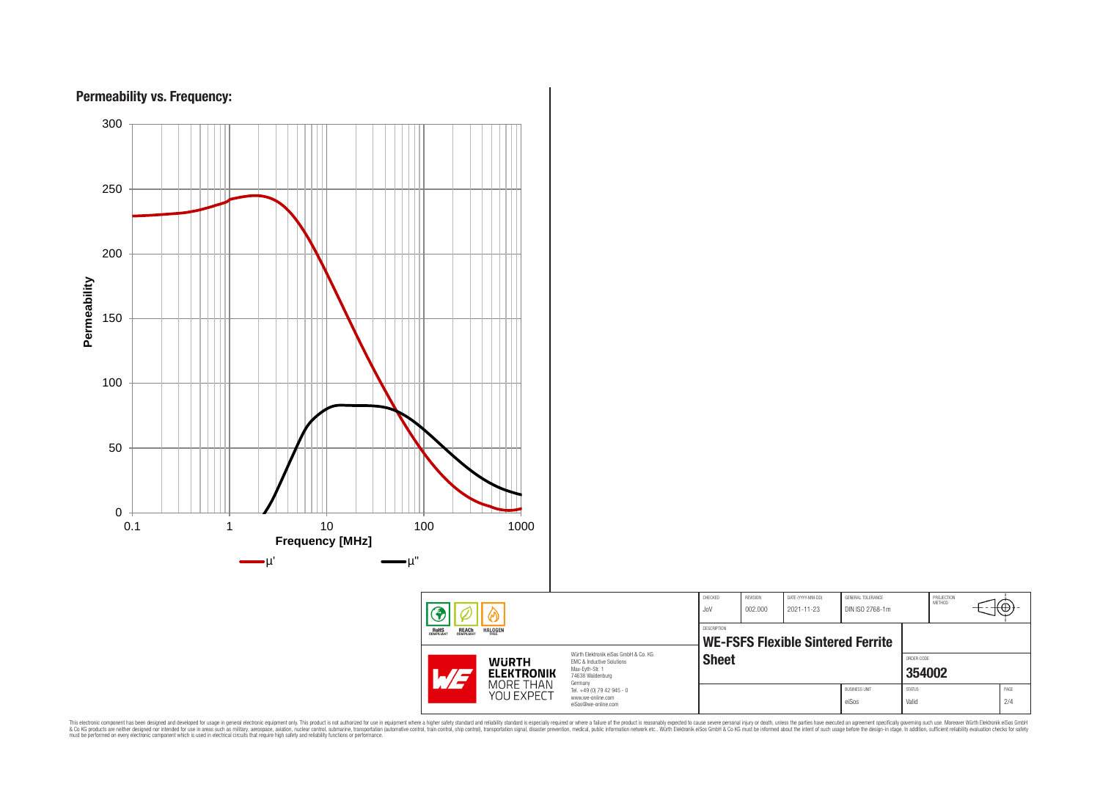

This electronic component has been designed and developed for usage in general electronic equipment only. This product is not authorized for subserved requipment where a higher selection equipment where a higher selection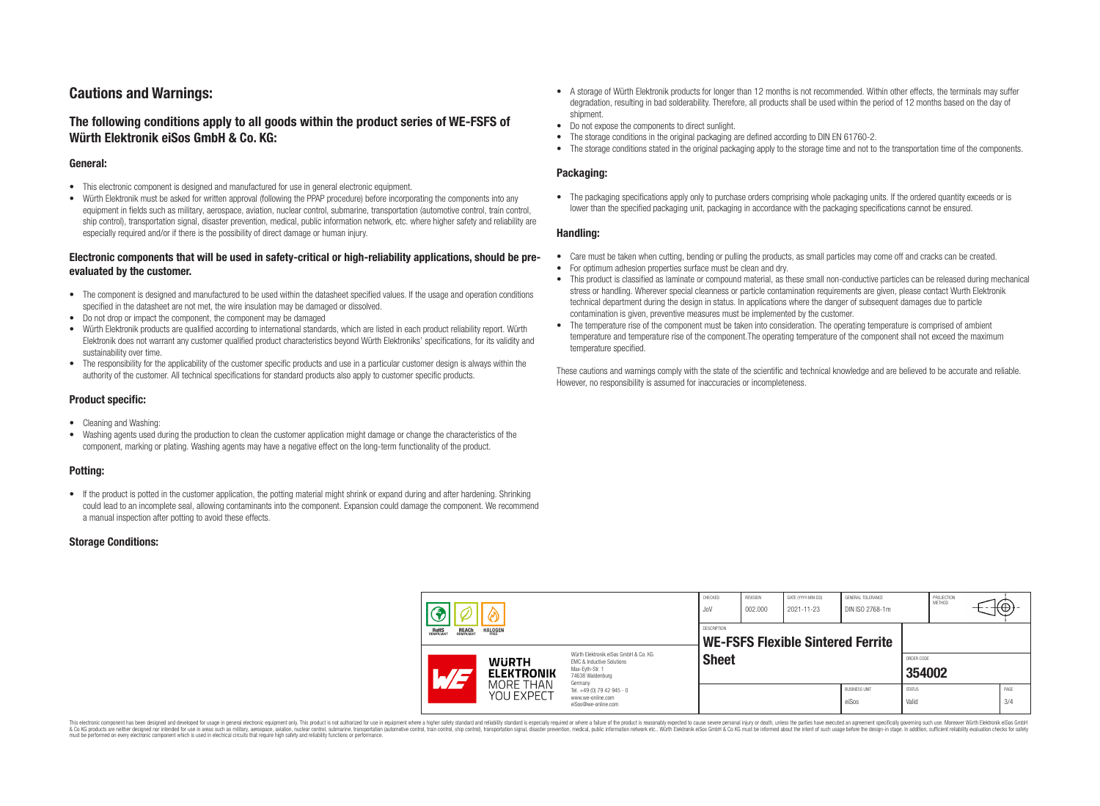# **Cautions and Warnings:**

# **The following conditions apply to all goods within the product series of WE-FSFS of Würth Elektronik eiSos GmbH & Co. KG:**

### **General:**

- This electronic component is designed and manufactured for use in general electronic equipment.
- Würth Elektronik must be asked for written approval (following the PPAP procedure) before incorporating the components into any equipment in fields such as military, aerospace, aviation, nuclear control, submarine, transportation (automotive control, train control, ship control), transportation signal, disaster prevention, medical, public information network, etc. where higher safety and reliability are especially required and/or if there is the possibility of direct damage or human injury.

# **Electronic components that will be used in safety-critical or high-reliability applications, should be preevaluated by the customer.**

- The component is designed and manufactured to be used within the datasheet specified values. If the usage and operation conditions specified in the datasheet are not met, the wire insulation may be damaged or dissolved.
- Do not drop or impact the component, the component may be damaged
- Würth Elektronik products are qualified according to international standards, which are listed in each product reliability report. Würth Elektronik does not warrant any customer qualified product characteristics beyond Würth Elektroniks' specifications, for its validity and sustainability over time.
- The responsibility for the applicability of the customer specific products and use in a particular customer design is always within the authority of the customer. All technical specifications for standard products also apply to customer specific products.

## **Product specific:**

- Cleaning and Washing:
- Washing agents used during the production to clean the customer application might damage or change the characteristics of the component, marking or plating. Washing agents may have a negative effect on the long-term functionality of the product.

### **Potting:**

• If the product is potted in the customer application, the potting material might shrink or expand during and after hardening. Shrinking could lead to an incomplete seal, allowing contaminants into the component. Expansion could damage the component. We recommend a manual inspection after potting to avoid these effects.

### **Storage Conditions:**

- A storage of Würth Elektronik products for longer than 12 months is not recommended. Within other effects, the terminals may suffer degradation, resulting in bad solderability. Therefore, all products shall be used within the period of 12 months based on the day of shipment.
- Do not expose the components to direct sunlight.
- The storage conditions in the original packaging are defined according to DIN EN 61760-2.
- The storage conditions stated in the original packaging apply to the storage time and not to the transportation time of the components.

# **Packaging:**

• The packaging specifications apply only to purchase orders comprising whole packaging units. If the ordered quantity exceeds or is lower than the specified packaging unit, packaging in accordance with the packaging specifications cannot be ensured.

#### **Handling:**

- Care must be taken when cutting, bending or pulling the products, as small particles may come off and cracks can be created.
- For optimum adhesion properties surface must be clean and dry.
- This product is classified as laminate or compound material, as these small non-conductive particles can be released during mechanical stress or handling. Wherever special cleanness or particle contamination requirements are given, please contact Wurth Elektronik technical department during the design in status. In applications where the danger of subsequent damages due to particle contamination is given, preventive measures must be implemented by the customer.
- The temperature rise of the component must be taken into consideration. The operating temperature is comprised of ambient temperature and temperature rise of the component.The operating temperature of the component shall not exceed the maximum temperature specified.

These cautions and warnings comply with the state of the scientific and technical knowledge and are believed to be accurate and reliable. However, no responsibility is assumed for inaccuracies or incompleteness.

| 3<br>៳<br><b>ROHS</b><br>COMPLIANT<br><b>REACH</b><br>COMPLIANT<br><b>HALOGEN</b> |  |                                   | CHECKED<br>JoV                                                                                                                                                                                           | REVISION<br>002.000 | DATE (YYYY-MM-DD)<br>2021-11-23 | GENERAL TOLERANCE<br>DIN ISO 2768-1m |                               | PROJECTION<br><b>METHOD</b>   |  | ťΨ |
|-----------------------------------------------------------------------------------|--|-----------------------------------|----------------------------------------------------------------------------------------------------------------------------------------------------------------------------------------------------------|---------------------|---------------------------------|--------------------------------------|-------------------------------|-------------------------------|--|----|
|                                                                                   |  |                                   | <b>DESCRIPTION</b><br><b>WE-FSFS Flexible Sintered Ferrite</b>                                                                                                                                           |                     |                                 |                                      |                               |                               |  |    |
|                                                                                   |  | <b>WURTH</b><br><b>ELEKTRONIK</b> | Würth Elektronik eiSos GmbH & Co. KG<br><b>EMC &amp; Inductive Solutions</b><br>Max-Eyth-Str. 1<br>74638 Waldenburg<br>Germany<br>Tel. +49 (0) 79 42 945 - 0<br>www.we-online.com<br>eiSos@we-online.com | <b>Sheet</b>        |                                 |                                      |                               | ORDER CODE<br>354002          |  |    |
|                                                                                   |  | MORE THAN<br>YOU EXPECT           |                                                                                                                                                                                                          |                     |                                 |                                      | <b>BUSINESS UNIT</b><br>eiSos | <b>STATUS</b><br><b>Valid</b> |  |    |

This electronic component has been designed and developed for usage in general electronic equipment only. This product is not authorized for use in equipment where a higher safety standard and reliability standard si espec & Ook product a label and the membed of the seasuch as marked and as which such a membed and the such assume that income in the seasuch and the simulation and the such assume that include to the such a membed and the such